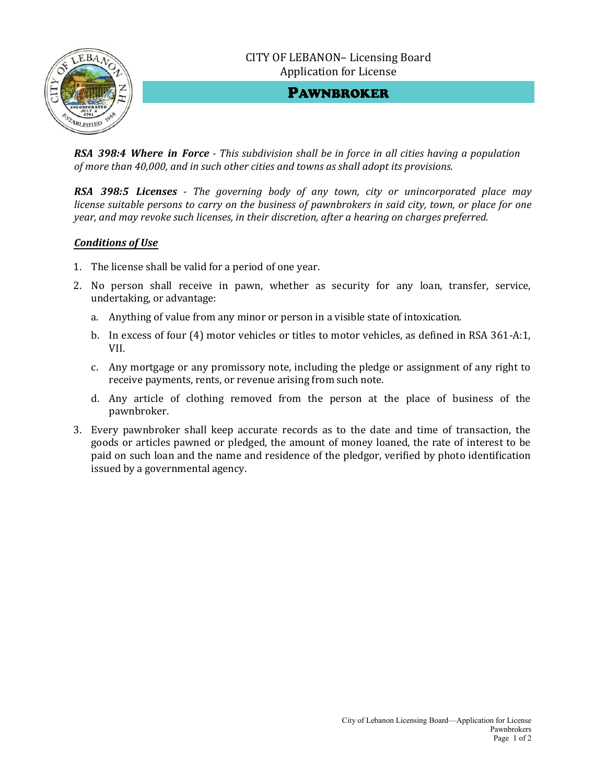



PAWNBROKER

*RSA 398:4 Where in Force - This subdivision shall be in force in all cities having a population of more than 40,000, and in such other cities and towns as shall adopt its provisions.*

*RSA 398:5 Licenses - The governing body of any town, city or unincorporated place may license suitable persons to carry on the business of pawnbrokers in said city, town, or place for one year, and may revoke such licenses, in their discretion, after a hearing on charges preferred.*

## *Conditions of Use*

- 1. The license shall be valid for a period of one year.
- 2. No person shall receive in pawn, whether as security for any loan, transfer, service, undertaking, or advantage:
	- a. Anything of value from any minor or person in a visible state of intoxication.
	- b. In excess of four (4) motor vehicles or titles to motor vehicles, as defined in RSA 361-A:1, VII.
	- c. Any mortgage or any promissory note, including the pledge or assignment of any right to receive payments, rents, or revenue arising from such note.
	- d. Any article of clothing removed from the person at the place of business of the pawnbroker.
- 3. Every pawnbroker shall keep accurate records as to the date and time of transaction, the goods or articles pawned or pledged, the amount of money loaned, the rate of interest to be paid on such loan and the name and residence of the pledgor, verified by photo identification issued by a governmental agency.